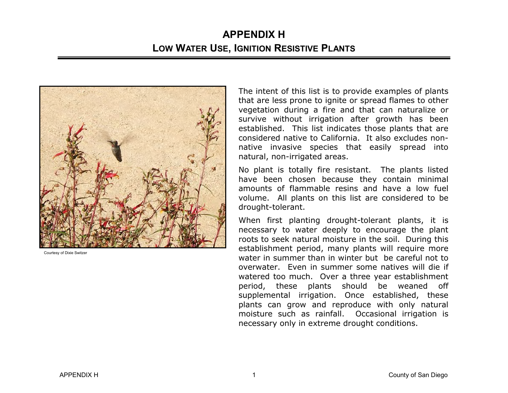

Courtesy of Dixie Switzer

The intent of this list is to provide examples of plants that are less prone to ignite or spread flames to other vegetation during a fire and that can naturalize or survive without irrigation after growth has been established. This list indicates those plants that are considered native to California. It also excludes nonnative invasive species that easily spread into natural, non-irrigated areas.

No plant is totally fire resistant. The plants listed have been chosen because they contain minimal amounts of flammable resins and have a low fuel volume. All plants on this list are considered to be drought-tolerant.

When first planting drought-tolerant plants, it is necessary to water deeply to encourage the plant roots to seek natural moisture in the soil. During this establishment period, many plants will require more water in summer than in winter but be careful not to overwater. Even in summer some natives will die if watered too much. Over a three year establishment period, these plants should be weaned off supplemental irrigation. Once established, these plants can grow and reproduce with only natural moisture such as rainfall. Occasional irrigation is necessary only in extreme drought conditions.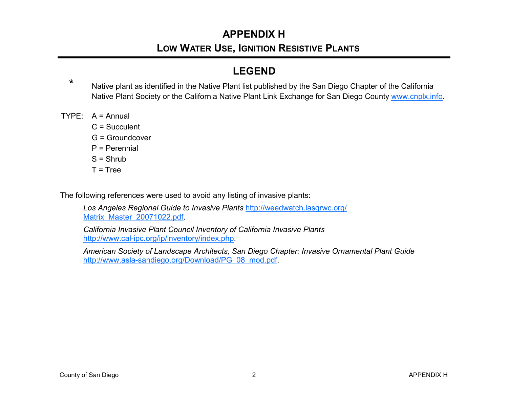# **APPENDIX H**

#### **LOW WATER USE, IGNITION RESISTIVE PLANTS**

#### **LEGEND**

- \* Native plant as identified in the Native Plant list published by the San Diego Chapter of the California Native Plant Society or the California Native Plant Link Exchange for San Diego County www.cnplx.info.<br>TYPE: A = Annual
- - $C =$ Succulent
	- G = Groundcover
	- P = Perennial
	- $S = Shrub$
	- $T = Tree$

The following references were used to avoid any listing of invasive plants:

*Los Angeles Regional Guide to Invasive Plants* http://weedwatch.lasgrwc.org/ Matrix\_Master\_20071022.pdf.

*California Invasive Plant Council Inventory of California Invasive Plants*http://www.cal-ipc.org/ip/inventory/index.php.

*American Society of Landscape Architects, San Diego Chapter: Invasive Ornamental Plant Guide* http://www.asla-sandiego.org/Download/PG\_08\_mod.pdf.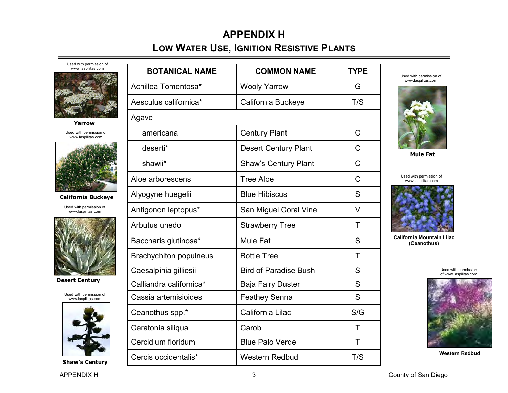Used with permission of



**Yarrow** 

Used with permission of www.laspilitas.com



**California Buckeye** 

Used with permission of www.laspilitas.com



**Desert Century** 

Used with permission of www.laspilitas.com



**Shaw's Century** 

| <b>BOTANICAL NAME</b>         | <b>COMMON NAME</b>           | <b>TYPE</b> |
|-------------------------------|------------------------------|-------------|
| Achillea Tomentosa*           | <b>Wooly Yarrow</b>          | G           |
| Aesculus californica*         | California Buckeye           | T/S         |
| Agave                         |                              |             |
| americana                     | <b>Century Plant</b>         | C           |
| deserti*                      | <b>Desert Century Plant</b>  | C           |
| shawii*                       | <b>Shaw's Century Plant</b>  | C           |
| Aloe arborescens              | <b>Tree Aloe</b>             | C           |
| Alyogyne huegelii             | <b>Blue Hibiscus</b>         | S           |
| Antigonon leptopus*           | San Miguel Coral Vine        | V           |
| Arbutus unedo                 | <b>Strawberry Tree</b>       | T           |
| Baccharis glutinosa*          | <b>Mule Fat</b>              | S           |
| <b>Brachychiton populneus</b> | <b>Bottle Tree</b>           | T           |
| Caesalpinia gilliesii         | <b>Bird of Paradise Bush</b> | S           |
| Calliandra californica*       | <b>Baja Fairy Duster</b>     | S           |
| Cassia artemisioides          | Feathey Senna                | S           |
| Ceanothus spp.*               | California Lilac             | S/G         |
| Ceratonia siliqua             | Carob                        | T           |
| Cercidium floridum            | <b>Blue Palo Verde</b>       | T           |
| Cercis occidentalis*          | <b>Western Redbud</b>        | T/S         |

Used with permission of www.laspilitas.com



**Mule Fat** 

Used with permission of www.laspilitas.com



**California Mountain Lilac (Ceanothus)** 

Used with permission of www.laspilitas.com



**Western Redbud**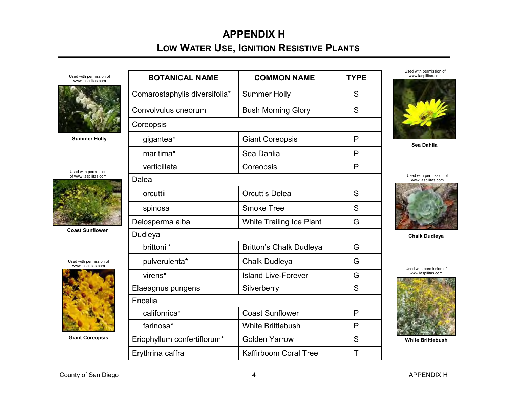### **APPENDIX H LOW WATER USE, IGNITION RESISTIVE PLANTS**



**Summer Holly** 

Used with permission of www.laspilitas.com



**Coast Sunflower** 

| Used with permission of |  |
|-------------------------|--|
| www.laspilitas.com      |  |



**Giant Coreopsis** 

| <b>BOTANICAL NAME</b>         | <b>COMMON NAME</b>              | <b>TYPE</b> |
|-------------------------------|---------------------------------|-------------|
| Comarostaphylis diversifolia* | <b>Summer Holly</b>             | S           |
| Convolvulus cneorum           | <b>Bush Morning Glory</b>       | S           |
| Coreopsis                     |                                 |             |
| gigantea*                     | <b>Giant Coreopsis</b>          | P           |
| maritima*                     | Sea Dahlia                      | P           |
| verticillata                  | Coreopsis                       | P           |
| Dalea                         |                                 |             |
| orcuttii                      | <b>Orcutt's Delea</b>           | S           |
| spinosa                       | <b>Smoke Tree</b>               | S           |
| Delosperma alba               | <b>White Trailing Ice Plant</b> | G           |
| Dudleya                       |                                 |             |
| brittonii*                    | Britton's Chalk Dudleya         | G           |
| pulverulenta*                 | <b>Chalk Dudleya</b>            | G           |
| virens*                       | <b>Island Live-Forever</b>      | G           |
| Elaeagnus pungens             | Silverberry                     | S           |
| Encelia                       |                                 |             |
| californica*                  | <b>Coast Sunflower</b>          | P           |
| farinosa*                     | <b>White Brittlebush</b>        | P           |
| Eriophyllum confertiflorum*   | <b>Golden Yarrow</b>            | S           |
| Erythrina caffra              | <b>Kaffirboom Coral Tree</b>    | Τ           |

Used with permission of www.laspilitas.com



**Sea Dahlia** 

Used with permission of www.laspilitas.com



**Chalk Dudleya** 

Used with permission of www.laspilitas.com



**White Brittlebush**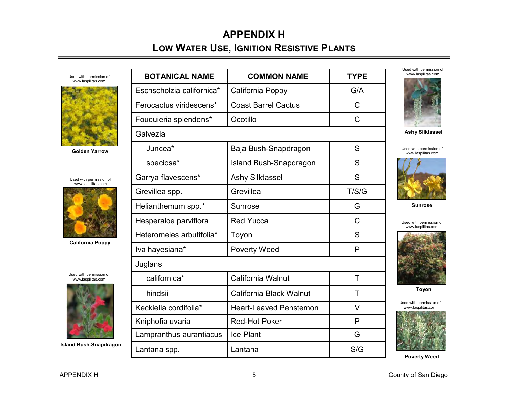Used with permission of www.laspilitas.com



**Golden Yarrow** 

Used with permission of www.laspilitas.com



**California Poppy** 

Used with permission of www.laspilitas.com



**Island Bush-Snapdragon** 

| <b>BOTANICAL NAME</b>     | <b>COMMON NAME</b>            | <b>TYPE</b> |
|---------------------------|-------------------------------|-------------|
| Eschscholzia californica* | California Poppy              | G/A         |
| Ferocactus viridescens*   | <b>Coast Barrel Cactus</b>    | C           |
| Fouquieria splendens*     | Ocotillo                      | C           |
| Galvezia                  |                               |             |
| Juncea*                   | Baja Bush-Snapdragon          | S           |
| speciosa*                 | Island Bush-Snapdragon        | S           |
| Garrya flavescens*        | <b>Ashy Silktassel</b>        | S           |
| Grevillea spp.            | Grevillea                     | T/S/G       |
| Helianthemum spp.*        | Sunrose                       | G           |
| Hesperaloe parviflora     | <b>Red Yucca</b>              | C           |
| Heteromeles arbutifolia*  | Toyon                         | S           |
| Iva hayesiana*            | <b>Poverty Weed</b>           | P           |
| Juglans                   |                               |             |
| californica*              | California Walnut             | Τ           |
| hindsii                   | California Black Walnut       | т           |
| Keckiella cordifolia*     | <b>Heart-Leaved Penstemon</b> | V           |
| Kniphofia uvaria          | <b>Red-Hot Poker</b>          | P           |
| Lampranthus aurantiacus   | <b>Ice Plant</b>              | G           |
| Lantana spp.              | Lantana                       | S/G         |

Used with permission of www.laspilitas.com



**Ashy Silktassel** 

Used with permission of www.laspilitas.com



**Sunrose** 

Used with permission of www.laspilitas.com



**Toyon** 

Used with permission of www.laspilitas.com



**Poverty Weed**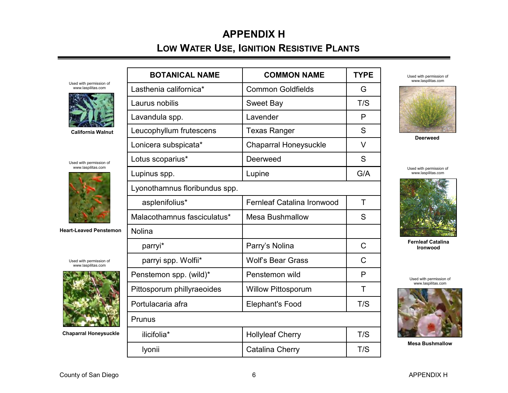### **APPENDIX H LOW WATER USE, IGNITION RESISTIVE PLANTS**

| www.laspilitas.com<br>Used with permission of<br>www.laspilitas.com<br>Lasthenia californica*<br><b>Common Goldfields</b><br>G<br>T/S<br>Laurus nobilis<br><b>Sweet Bay</b><br>P<br>Lavandula spp.<br>Lavender<br>S<br>Leucophyllum frutescens<br><b>Texas Ranger</b><br><b>California Walnut</b><br><b>Deerweed</b> |  |
|----------------------------------------------------------------------------------------------------------------------------------------------------------------------------------------------------------------------------------------------------------------------------------------------------------------------|--|
|                                                                                                                                                                                                                                                                                                                      |  |
|                                                                                                                                                                                                                                                                                                                      |  |
|                                                                                                                                                                                                                                                                                                                      |  |
|                                                                                                                                                                                                                                                                                                                      |  |
| $\vee$<br><b>Chaparral Honeysuckle</b><br>Lonicera subspicata*                                                                                                                                                                                                                                                       |  |
| Lotus scoparius*<br>S<br>Deerweed<br>Used with permission of                                                                                                                                                                                                                                                         |  |
| www.laspilitas.com<br>Used with permission of<br>G/A<br>Lupinus spp.<br>Lupine<br>www.laspilitas.com                                                                                                                                                                                                                 |  |
| Lyonothamnus floribundus spp.                                                                                                                                                                                                                                                                                        |  |
| Fernleaf Catalina Ironwood<br>T<br>asplenifolius*                                                                                                                                                                                                                                                                    |  |
| Malacothamnus fasciculatus*<br>S<br><b>Mesa Bushmallow</b>                                                                                                                                                                                                                                                           |  |
| <b>Heart-Leaved Penstemon</b><br>Nolina                                                                                                                                                                                                                                                                              |  |
| <b>Fernleaf Catalina</b><br>Parry's Nolina<br>C<br>parryi*<br><b>Ironwood</b>                                                                                                                                                                                                                                        |  |
| $\mathsf{C}$<br><b>Wolf's Bear Grass</b><br>parryi spp. Wolfii*<br>Used with permission of<br>www.laspilitas.com                                                                                                                                                                                                     |  |
| Penstemon spp. (wild)*<br>Penstemon wild<br>P<br>Used with permission of                                                                                                                                                                                                                                             |  |
| www.laspilitas.com<br>Pittosporum phillyraeoides<br><b>Willow Pittosporum</b><br>Т                                                                                                                                                                                                                                   |  |
| Portulacaria afra<br>T/S<br><b>Elephant's Food</b>                                                                                                                                                                                                                                                                   |  |
| Prunus                                                                                                                                                                                                                                                                                                               |  |
| T/S<br><b>Chaparral Honeysuckle</b><br>ilicifolia*<br><b>Hollyleaf Cherry</b>                                                                                                                                                                                                                                        |  |
| <b>Mesa Bushmallow</b><br><b>Catalina Cherry</b><br>T/S<br>Iyonii                                                                                                                                                                                                                                                    |  |

County of San Diego **6** APPENDIX H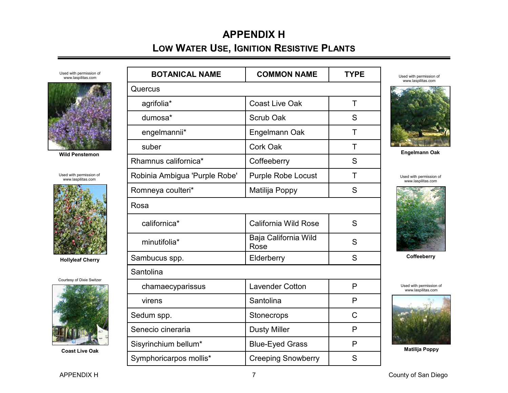Used with permission of www.laspilitas.com



**Wild Penstemon** 

Used with permission of www.laspilitas.com



**Hollyleaf Cherry** 



**Coast Live Oak** 

| <b>BOTANICAL NAME</b>         | <b>COMMON NAME</b>           | <b>TYPE</b>  |
|-------------------------------|------------------------------|--------------|
| Quercus                       |                              |              |
| agrifolia*                    | <b>Coast Live Oak</b>        | T            |
| dumosa*                       | Scrub Oak                    | S            |
| engelmannii*                  | Engelmann Oak                | Τ            |
| suber                         | Cork Oak                     | Τ            |
| Rhamnus californica*          | Coffeeberry                  | S            |
| Robinia Ambigua 'Purple Robe' | <b>Purple Robe Locust</b>    | T            |
| Romneya coulteri*             | Matilija Poppy               | S            |
| Rosa                          |                              |              |
| californica*                  | California Wild Rose         | S            |
| minutifolia*                  | Baja California Wild<br>Rose | S            |
| Sambucus spp.                 | Elderberry                   | S            |
| Santolina                     |                              |              |
| chamaecyparissus              | <b>Lavender Cotton</b>       | $\mathsf{P}$ |
| virens                        | Santolina                    | P            |
| Sedum spp.                    | Stonecrops                   | C            |
| Senecio cineraria             | <b>Dusty Miller</b>          | P            |
| Sisyrinchium bellum*          | <b>Blue-Eyed Grass</b>       | P            |
| Symphoricarpos mollis*        | <b>Creeping Snowberry</b>    | S            |

Used with permission of www.laspilitas.com



**Engelmann Oak** 

Used with permission of www.laspilitas.com



**Coffeeberry** 

Used with permission of www.laspilitas.com



**Matilija Poppy**